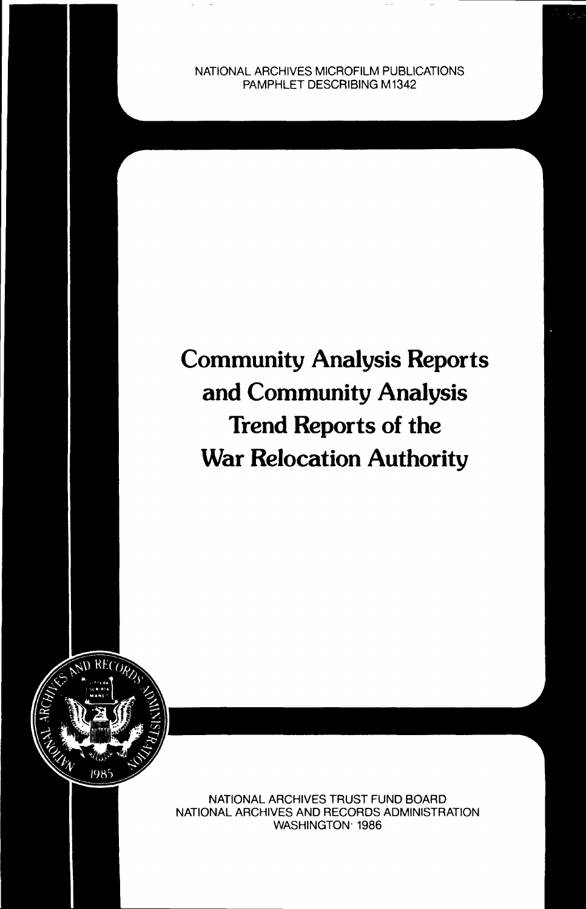NATIONAL ARCHIVES MICROFILM PUBLICATIONS PAMPHLET DESCRIBING M1342

# **Community Analysis Reports and Community Analysis Trend Reports of the War Relocation Authority**



NATIONAL ARCHIVES TRUST FUND BOARD NATIONAL ARCHIVES AND RECORDS ADMINISTRATION WASHINGTON- 1986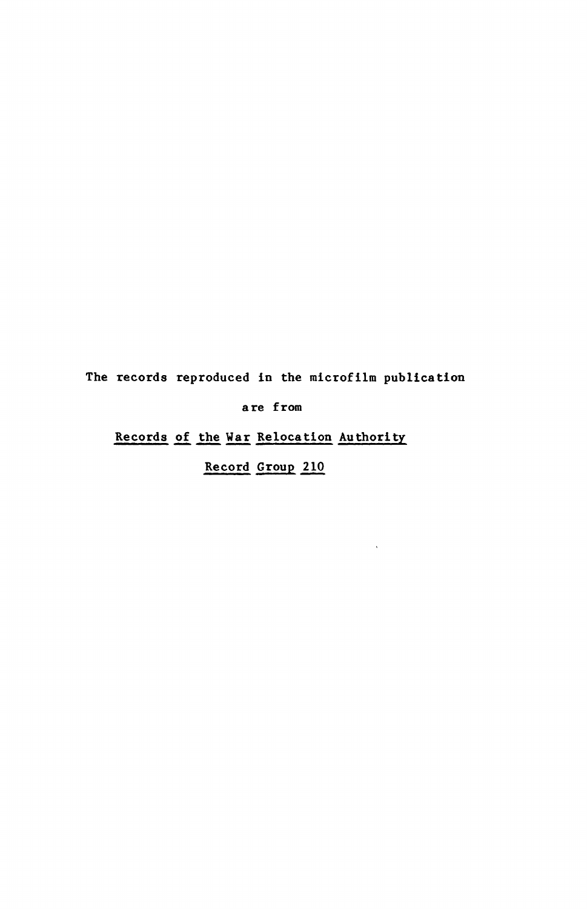The records reproduced in the microfilm publication

are from

Records of the War Relocation Authority

Record Group 210

 $\Delta$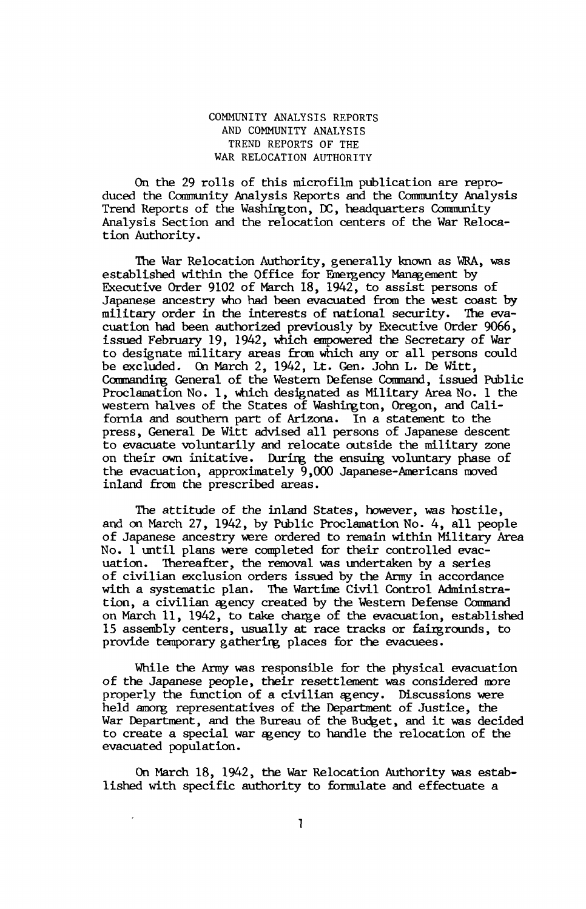### COMMUNITY ANALYSIS REPORTS AND COMMUNITY ANALYSIS TREND REPORTS OF THE WAR RELOCATION AUTHORITY

On the 29 rolls of this microfilm publication are reproduced the Community Analysis Reports and the Community Analysis Trend Reports of the Washington, DC, headquarters Community Analysis Section and the relocation centers of the War Relocation Authority.

The War Relocation Authority, generally known as WRA, was established within the Office for Emergency Management by Executive Order 9102 of March 18, 1942, to assist persons of Japanese ancestry who had been evacuated from the west coast by military order in the interests of national security. The evacuation had been authorized previously by Executive Order 9066, issued February 19, 1942, which empowered the Secretary of War to designate military areas from which any or all persons could be excluded. On March 2, 1942, Lt. Gen. John L. De Witt, Commanding General of the Western Defense Command, issued Public Proclamation No. 1, which designated as Military Area No. 1 the western halves of the States of Washington, Oregon, and California and southern part of Arizona. In a statement to the press, General De Witt advised all persons of Japanese descent to evacuate voluntarily and relocate outside the military zone on their own initative. During the ensuing voluntary phase of the evacuation, approximately 9,000 Japanese-Americans moved inland from the prescribed areas.

The attitude of the inland States, however, was hostile, and on March 27, 1942, by Public Proclamation No. 4, all people of Japanese ancestry were ordered to remain within Military Area No. 1 until plans were completed for their controlled evacuation. Thereafter, the removal was undertaken by a series of civilian exclusion orders issued by the Army in accordance with a systematic plan. The Wartime Civil Control Administration, a civilian agency created by the Western Defense Command on March 11, 1942, to take charge of the evacuation, established 15 assembly centers, usually at race tracks or fairgrounds, to provide temporary gathering places for the evacuees.

While the Army was responsible for the physical evacuation of the Japanese people, their resettlement was considered more properly the function of a civilian agency. Discussions were held among representatives of the Department of Justice, the War Department, and the Bureau of the Budget, and it was decided to create a special war agency to handle the relocation of the evacuated population.

On March 18, 1942, the War Relocation Authority was established with specific authority to formulate and effectuate a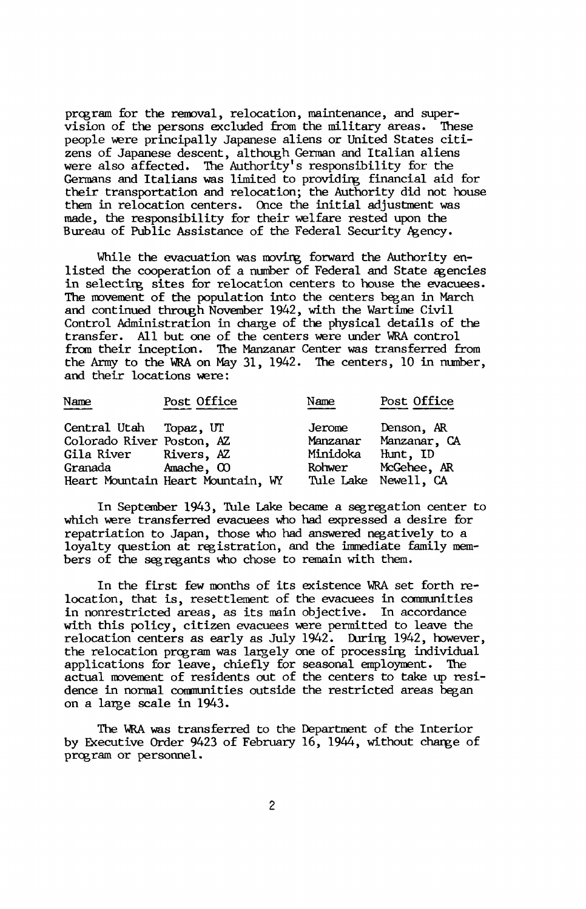program for the removal, relocation, maintenance, and supervision of the persons excluded from the military areas. These people were principally Japanese aliens or United States citizens of Japanese descent, although German and Italian aliens were also affected. The Authority's responsibility for the Germans and Italians was limited to providing financial aid for their transportation and relocation; the Authority did not house them in relocation centers. Once the initial adjustment was made, the responsibility for their welfare rested upon the Bureau of Public Assistance of the Federal Security Agency.

While the evacuation was moving forward the Authority enlisted the cooperation of a number of Federal and State agencies in selecting sites for relocation centers to house the evacuees. The movement of the population into the centers began in March and continued through November 1942, with the Wartime Civil Control Administration in charge of the physical details of the transfer. All but one of the centers were under WRA control from their inception. The Manzanar Center was transferred from the Army to the WRA on May 31, 1942. The centers, 10 in number, and their locations were:

| Name                      | Post Office                       | Name     | Post Office          |
|---------------------------|-----------------------------------|----------|----------------------|
| Central Utah              | Topaz, UT                         | Jerome   | Denson, AR           |
| Colorado River Poston, AZ |                                   | Manzanar | Manzanar, CA         |
| Gila River Rivers, AZ     |                                   | Minidoka | Hunt, ID             |
| Granada                   | Amache, CO                        | Rohwer   | McGehee, AR          |
|                           | Heart Mountain Heart Mountain, WY |          | Tule Lake Newell, CA |

In September 1943, Tule Lake became a segregation center to which were transferred evacuees who had expressed a desire for repatriation to Japan, those who had answered negatively to a loyalty question at registration, and the immediate family members of the segregants who chose to remain with them.

In the first few months of its existence WRA set forth relocation, that is, resettlement of the evacuees in communities in nonrestricted areas, as its main objective. In accordance with this policy, citizen evacuees were permitted to leave the relocation centers as early as July 1942. During 1942, however, the relocation program was largely one of processing individual applications for leave, chiefly for seasonal employment. The actual movement of residents out of the centers to take up residence in normal communities outside the restricted areas began on a large scale in 1943.

The WRA was transferred to the Department of the Interior by Executive Order 9423 of February 16, 1944, without change of program or personnel.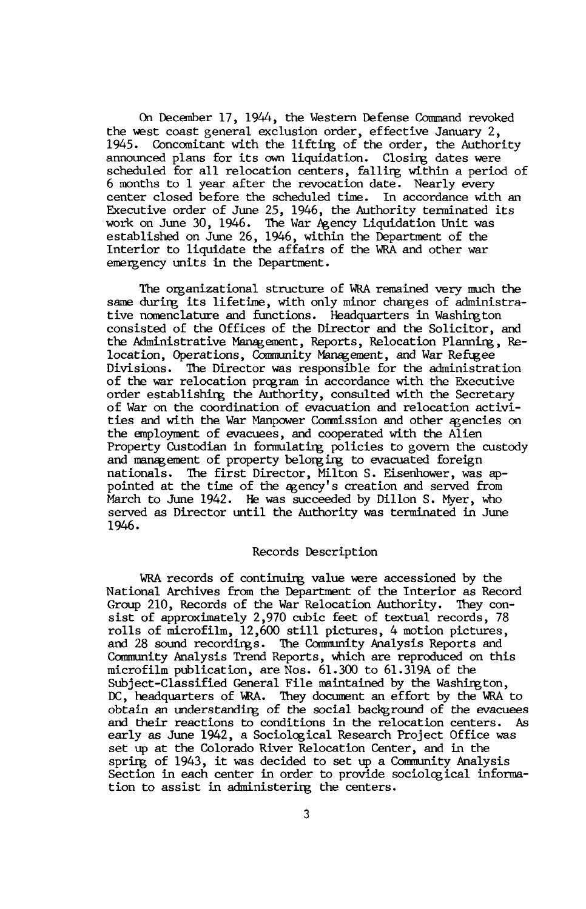On December 17, 1944, the Western Defense Command revoked the west coast general exclusion order, effective January 2, 1945. Concomitant with the lifting of the order, the Authority announced plans for its own liquidation. Closing dates were scheduled for all relocation centers, falling within a period of 6 months to 1 year after the revocation date. Nearly every center closed before the scheduled time. In accordance with an Executive order of June 25, 1946, the Authority terminated its work on June 30, 1946. The War Agency Liquidation Unit was established on June 26, 1946, within the Department of the Interior to liquidate the affairs of the WRA and other war emergency units in the Department.

The organizational structure of WRA remained very much the same during its lifetime, with only minor changes of administrative nomenclature and functions. Headquarters in Washington consisted of the Offices of the Director and the Solicitor, and the Administrative Management, Reports, Relocation Planning, Relocation, Operations, Community Management, and War Refugee Divisions. The Director was responsible for the administration of the war relocation program in accordance with the Executive order establishing the Authority, consulted with the Secretary of War on the coordination of evacuation and relocation activities and with the War Manpower Commission and other agencies on the employment of evacuees, and cooperated with the Alien Property Custodian in formulating policies to govern the custody and management of property belonging to evacuated foreign nationals. The first Director, Milton S. Eisenhower, was appointed at the time of the agency's creation and served from March to June 1942. He was succeeded by Dillon S. Myer, who served as Director until the Authority was terminated in June 1946.

#### Records Description

WRA records of continuing value were accessioned by the National Archives from the Department of the Interior as Record Group 210, Records of the War Relocation Authority. They consist of approximately 2,970 cubic feet of textual records, 78 rolls of microfilm, 12,600 still pictures, 4 motion pictures, and 28 sound recordings. The Community Analysis Reports and Community Analysis Trend Reports, which are reproduced on this microfilm publication, are Nos. 61.300 to 61.319A of the Subject-Classified General File maintained by the Washington, DC, headquarters of WRA. They document an effort by the WRA to obtain an understanding of the social background of the evacuees and their reactions to conditions in the relocation centers. As early as June 1942, a Sociological Research Project Office was set up at the Colorado River Relocation Center, and in the spring of 1943, it was decided to set up a Community Analysis Section in each center in order to provide sociological information to assist in administering the centers.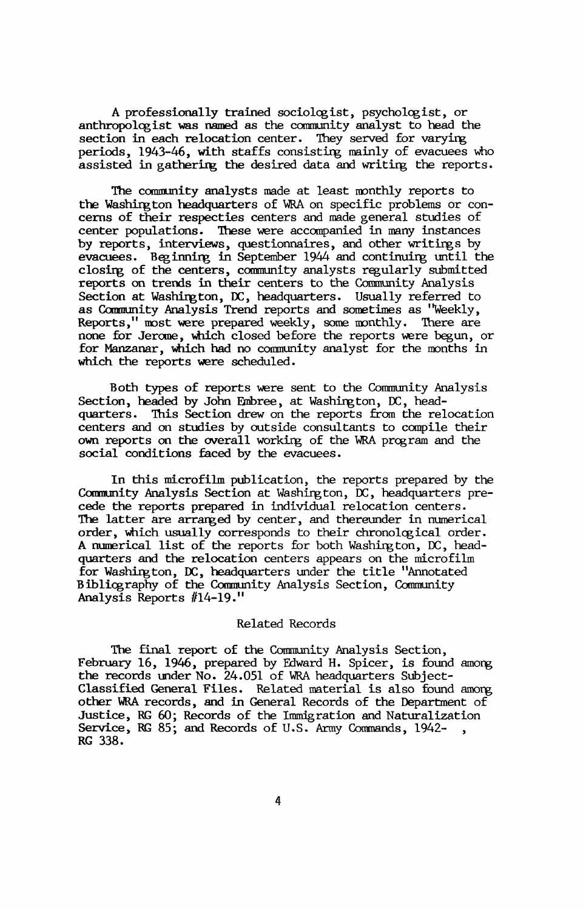A professionally trained sociologist, psychologist, or anthropologist was named as the community analyst to head the section in each relocation center. They served for varying periods, 1943-46, with staffs consisting mainly of evacuees who assisted in gathering the desired data and writing the reports.

The community analysts made at least monthly reports to the Washington headquarters of WRA on specific problems or concerns of their respecties centers and made general studies of center populations. These were accompanied in many instances by reports, interviews, questionnaires, and other writings by evacuees. Beginning in September 1944 and continuing until the closing of the centers, community analysts regularly submitted reports on trends in their centers to the Community Analysis Section at Washington, DC, headquarters. Usually referred to as Community Analysis Trend reports and sometimes as "Weekly, Reports," most were prepared weekly, some monthly. There are none for Jerome, which closed before the reports were begun, or for Manzanar, which had no community analyst for the months in which the reports were scheduled.

Both types of reports were sent to the Community Analysis Section, headed by John Embree, at Washington, DC, headquarters. This Section drew on the reports from the relocation centers and on studies by outside consultants to compile their own reports on the overall working of the WRA program and the social conditions faced by the evacuees.

In this microfilm publication, the reports prepared by the Community Analysis Section at Washington, DC, headquarters precede the reports prepared in individual relocation centers. The latter are arranged by center, and thereunder in numerical order, which usually corresponds to their chronological order. A numerical list of the reports for both Washington, DC, headquarters and the relocation centers appears on the microfilm for Washington, DC, headquarters under the title "Annotated Bibliography of the Community Analysis Section, Community Analysis Reports #14-19."

#### Related Records

The final report of the Community Analysis Section, February 16, 1946, prepared by Edward H. Spicer, is found among the records under No. 24.051 of WRA headquarters Subject-Classified General Files. Related material is also found among other WRA records, and in General Records of the Department of Justice, RG 60; Records of the Immigration and Naturalization Service, RG 85; and Records of U.S. Army Commands, 1942-, RG 338.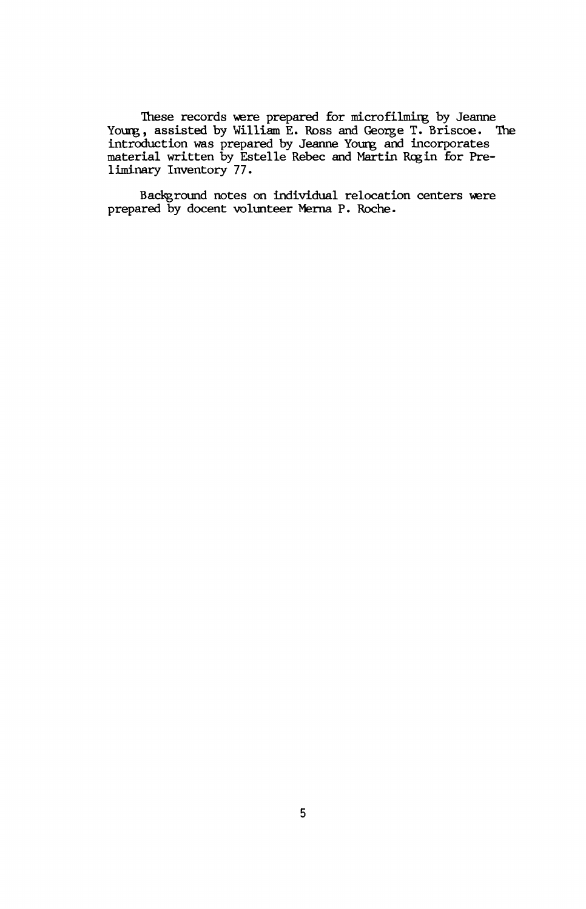These records were prepared for microfilming by Jeanne Young, assisted by William E. Ross and George T. Briscoe. The introduction was prepared by Jeanne Young and incorporates material written by Estelle Rebec and Martin Rogin for Preliminary Inventory 77.

Background notes on individual relocation centers were prepared by docent volunteer Merna P. Roche.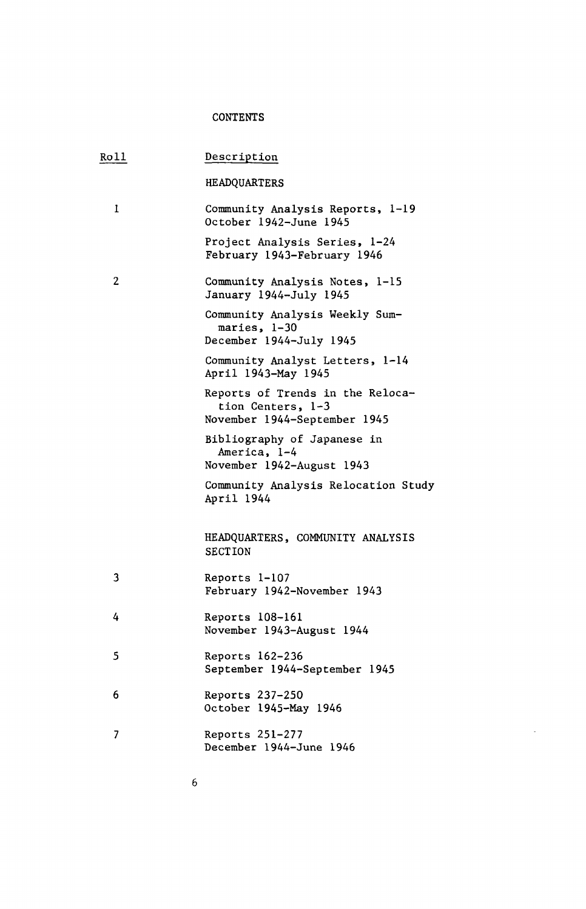## **CONTENTS**

| Roll | Description                                                                           |
|------|---------------------------------------------------------------------------------------|
|      | <b>HEADQUARTERS</b>                                                                   |
| 1    | Community Analysis Reports, 1-19<br>October 1942-June 1945                            |
|      | Project Analysis Series, 1-24<br>February 1943-February 1946                          |
| 2    | Community Analysis Notes, 1-15<br>January 1944-July 1945                              |
|      | Community Analysis Weekly Sum-<br>maries, 1-30<br>December 1944-July 1945             |
|      | Community Analyst Letters, 1-14<br>April 1943-May 1945                                |
|      | Reports of Trends in the Reloca-<br>tion Centers, 1-3<br>November 1944-September 1945 |
|      | Bibliography of Japanese in<br>America, 1-4<br>November 1942-August 1943              |
|      | Community Analysis Relocation Study<br>April 1944                                     |
|      | HEADQUARTERS, COMMUNITY ANALYSIS<br><b>SECTION</b>                                    |
| 3    | Reports 1-107<br>February 1942-November 1943                                          |
| 4    | Reports 108-161<br>November 1943-August 1944                                          |
| 5    | Reports 162-236<br>September 1944-September 1945                                      |
| 6    | Reports 237-250<br>October 1945-May 1946                                              |
| 7    | Reports 251-277<br>December 1944-June 1946                                            |

ä,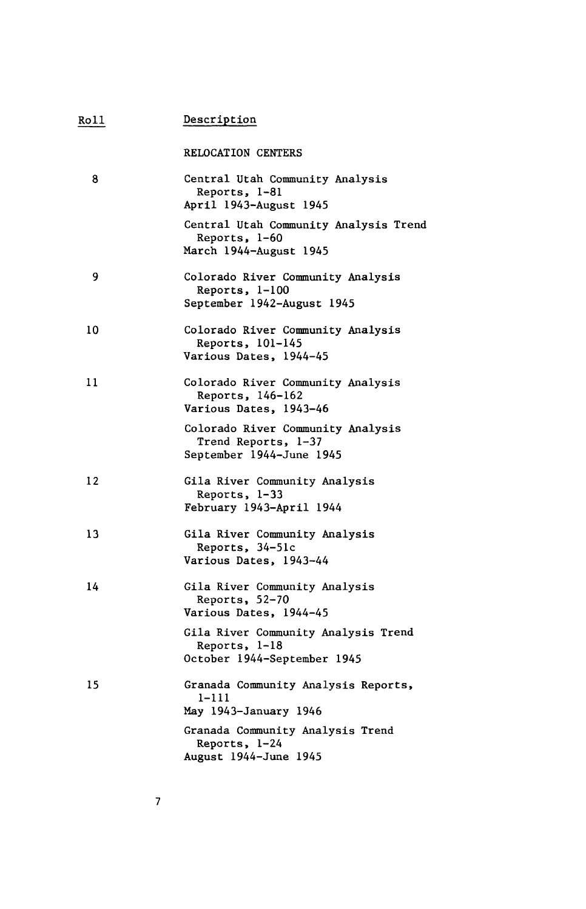| Roll | <u>Description</u>                                                                   |  |
|------|--------------------------------------------------------------------------------------|--|
|      | <b>RELOCATION CENTERS</b>                                                            |  |
| 8    | Central Utah Community Analysis<br>Reports, 1-81<br>April 1943-August 1945           |  |
|      | Central Utah Community Analysis Trend<br>Reports, 1-60<br>March 1944-August 1945     |  |
| 9    | Colorado River Community Analysis<br>Reports, $1-100$<br>September 1942-August 1945  |  |
| 10   | Colorado River Community Analysis<br>Reports, 101-145<br>Various Dates, 1944-45      |  |
| 11   | Colorado River Community Analysis<br>Reports, 146-162<br>Various Dates, 1943-46      |  |
|      | Colorado River Community Analysis<br>Trend Reports, 1-37<br>September 1944-June 1945 |  |
| 12   | Gila River Community Analysis<br>Reports, 1-33<br>February 1943-April 1944           |  |
| 13   | Gila River Community Analysis<br>Reports, 34-51c<br>Various Dates, 1943-44           |  |
| 14   | Gila River Community Analysis<br>Reports, 52-70<br>Various Dates, 1944-45            |  |
|      | Gila River Community Analysis Trend<br>Reports, 1-18<br>October 1944-September 1945  |  |
| 15   | Granada Community Analysis Reports,<br>$1 - 111$<br>May 1943-January 1946            |  |
|      | Granada Community Analysis Trend<br>Reports, 1-24<br>August 1944-June 1945           |  |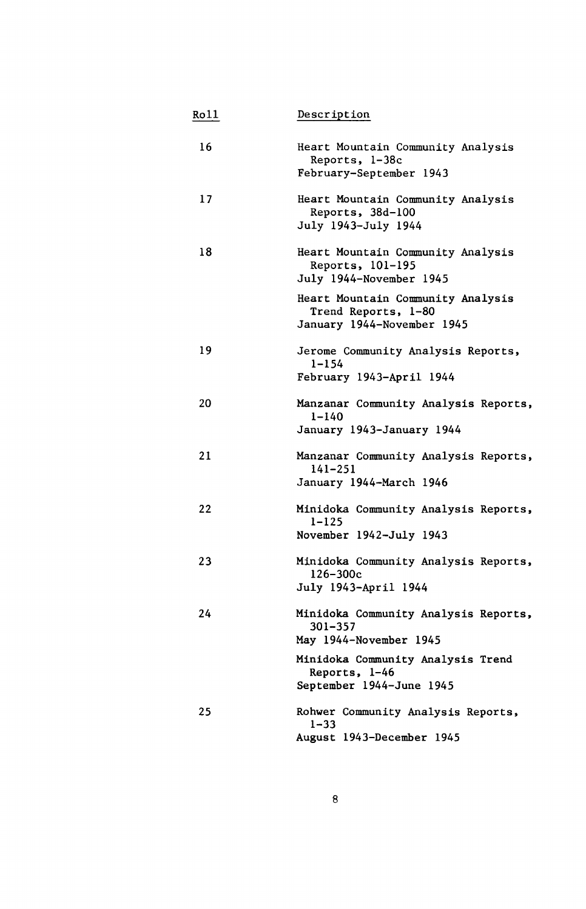| Ro11 | Description                                                                            |
|------|----------------------------------------------------------------------------------------|
| 16   | Heart Mountain Community Analysis<br>Reports, 1-38c<br>February-September 1943         |
| 17   | Heart Mountain Community Analysis<br>Reports, 38d-100<br>July 1943-July 1944           |
| 18   | Heart Mountain Community Analysis<br>Reports, 101-195<br>July 1944-November 1945       |
|      | Heart Mountain Community Analysis<br>Trend Reports, 1-80<br>January 1944-November 1945 |
| 19   | Jerome Community Analysis Reports,<br>1-154<br>February 1943-April 1944                |
| 20   | Manzanar Community Analysis Reports,<br>$1 - 140$<br>January 1943-January 1944         |
| 21   | Manzanar Community Analysis Reports,<br>141-251<br>January 1944-March 1946             |
| 22   | Minidoka Community Analysis Reports,<br>$1 - 125$<br>November 1942-July 1943           |
| 23   | Minidoka Community Analysis Reports,<br>126-300c<br>July 1943-April 1944               |
| 24   | Minidoka Community Analysis Reports,<br>301-357<br>May 1944-November 1945              |
|      | Minidoka Community Analysis Trend<br>Reports, 1-46<br>September 1944-June 1945         |
| 25   | Rohwer Community Analysis Reports,<br>$1 - 33$<br>August 1943-December 1945            |